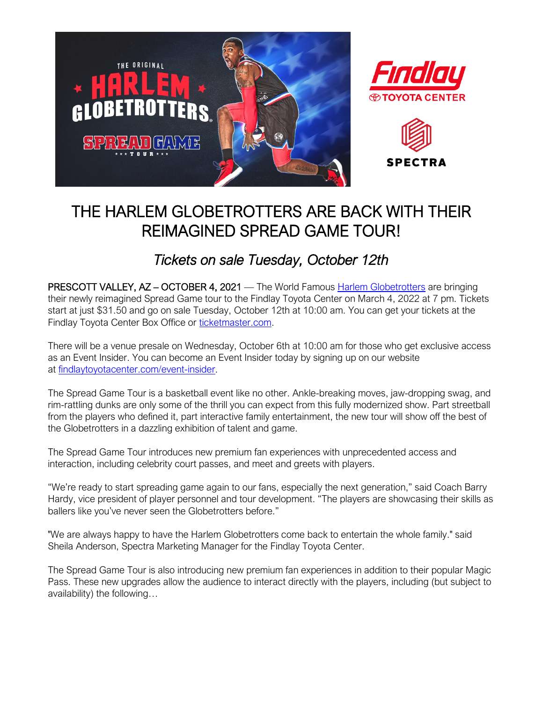

# THE HARLEM GLOBETROTTERS ARE BACK WITH THEIR REIMAGINED SPREAD GAME TOUR!

## *Tickets on sale Tuesday, October 12th*

PRESCOTT VALLEY, AZ – OCTOBER 4, 2021 — The World Famous [Harlem Globetrotters](http://www.findlaytoyotacenter.com/events/harlem-globetrotters) are bringing their newly reimagined Spread Game tour to the Findlay Toyota Center on March 4, 2022 at 7 pm. Tickets start at just \$31.50 and go on sale Tuesday, October 12th at 10:00 am. You can get your tickets at the Findlay Toyota Center Box Office or [ticketmaster.com.](https://www.ticketmaster.com/findlay-toyota-center-tickets-prescott-valley/venue/205170)

There will be a venue presale on Wednesday, October 6th at 10:00 am for those who get exclusive access as an Event Insider. You can become an Event Insider today by signing up on our website at [findlaytoyotacenter.com/event-insider.](http://www.findlaytoyotacenter.com/event-insider)

The Spread Game Tour is a basketball event like no other. Ankle-breaking moves, jaw-dropping swag, and rim-rattling dunks are only some of the thrill you can expect from this fully modernized show. Part streetball from the players who defined it, part interactive family entertainment, the new tour will show off the best of the Globetrotters in a dazzling exhibition of talent and game.

The Spread Game Tour introduces new premium fan experiences with unprecedented access and interaction, including celebrity court passes, and meet and greets with players.

"We're ready to start spreading game again to our fans, especially the next generation," said Coach Barry Hardy, vice president of player personnel and tour development. "The players are showcasing their skills as ballers like you've never seen the Globetrotters before."

"We are always happy to have the Harlem Globetrotters come back to entertain the whole family." said Sheila Anderson, Spectra Marketing Manager for the Findlay Toyota Center.

The Spread Game Tour is also introducing new premium fan experiences in addition to their popular Magic Pass. These new upgrades allow the audience to interact directly with the players, including (but subject to availability) the following…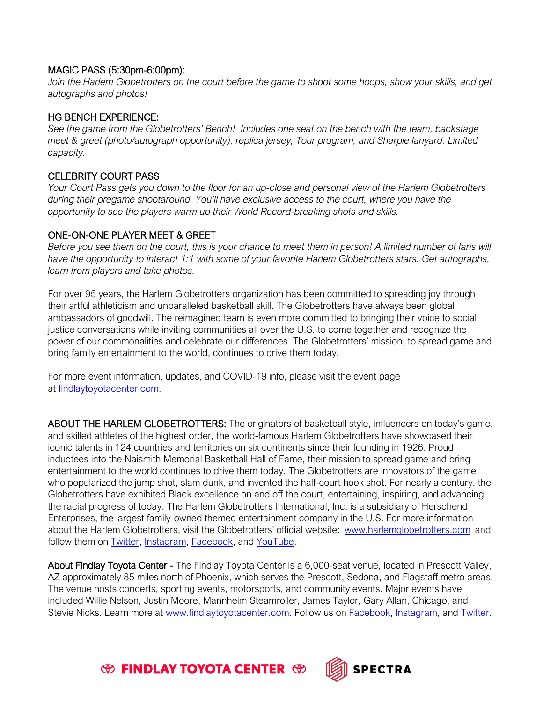### MAGIC PASS (5:30pm-6:00pm):

*Join the Harlem Globetrotters on the court before the game to shoot some hoops, show your skills, and get autographs and photos!*

#### HG BENCH EXPERIENCE:

*See the game from the Globetrotters' Bench! Includes one seat on the bench with the team, backstage meet & greet (photo/autograph opportunity), replica jersey, Tour program, and Sharpie lanyard. Limited capacity.*

### CELEBRITY COURT PASS

*Your Court Pass gets you down to the floor for an up-close and personal view of the Harlem Globetrotters during their pregame shootaround. You'll have exclusive access to the court, where you have the opportunity to see the players warm up their World Record-breaking shots and skills.*

### ONE-ON-ONE PLAYER MEET & GREET

*Before you see them on the court, this is your chance to meet them in person! A limited number of fans will have the opportunity to interact 1:1 with some of your favorite Harlem Globetrotters stars. Get autographs, learn from players and take photos.* 

For over 95 years, the Harlem Globetrotters organization has been committed to spreading joy through their artful athleticism and unparalleled basketball skill. The Globetrotters have always been global ambassadors of goodwill. The reimagined team is even more committed to bringing their voice to social justice conversations while inviting communities all over the U.S. to come together and recognize the power of our commonalities and celebrate our differences. The Globetrotters' mission, to spread game and bring family entertainment to the world, continues to drive them today.

For more event information, updates, and COVID-19 info, please visit the event page at [findlaytoyotacenter.com.](http://www.findlaytoyotacenter.com/events/harlem-globetrotters)

ABOUT THE HARLEM GLOBETROTTERS: The originators of basketball style, influencers on today's game, and skilled athletes of the highest order, the world-famous Harlem Globetrotters have showcased their iconic talents in 124 countries and territories on six continents since their founding in 1926. Proud inductees into the Naismith Memorial Basketball Hall of Fame, their mission to spread game and bring entertainment to the world continues to drive them today. The Globetrotters are innovators of the game who popularized the jump shot, slam dunk, and invented the half-court hook shot. For nearly a century, the Globetrotters have exhibited Black excellence on and off the court, entertaining, inspiring, and advancing the racial progress of today. The Harlem Globetrotters International, Inc. is a subsidiary of Herschend Enterprises, the largest family-owned themed entertainment company in the U.S. For more information about the Harlem Globetrotters, visit the Globetrotters' official website: [www.harlemglobetrotters.com](http://www.harlemglobetrotters.com/) and follow them on [Twitter,](https://twitter.com/globies) [Instagram,](https://www.instagram.com/harlemglobetrotters/) [Facebook,](https://www.facebook.com/HarlemGlobetrotters) and [YouTube.](https://www.youtube.com/HarlemGlobetrotters)

About Findlay Toyota Center - The Findlay Toyota Center is a 6,000-seat venue, located in Prescott Valley, AZ approximately 85 miles north of Phoenix, which serves the Prescott, Sedona, and Flagstaff metro areas. The venue hosts concerts, sporting events, motorsports, and community events. Major events have included Willie Nelson, Justin Moore, Mannheim Steamroller, James Taylor, Gary Allan, Chicago, and Stevie Nicks. Learn more at [www.findlaytoyotacenter.com.](http://www.findlaytoyotacenter.com/) Follow us on [Facebook,](https://www.facebook.com/FindlayToyotaCenter/) [Instagram,](https://www.instagram.com/findlaytoyotacenter/) and [Twitter.](https://twitter.com/FindlayCenter)